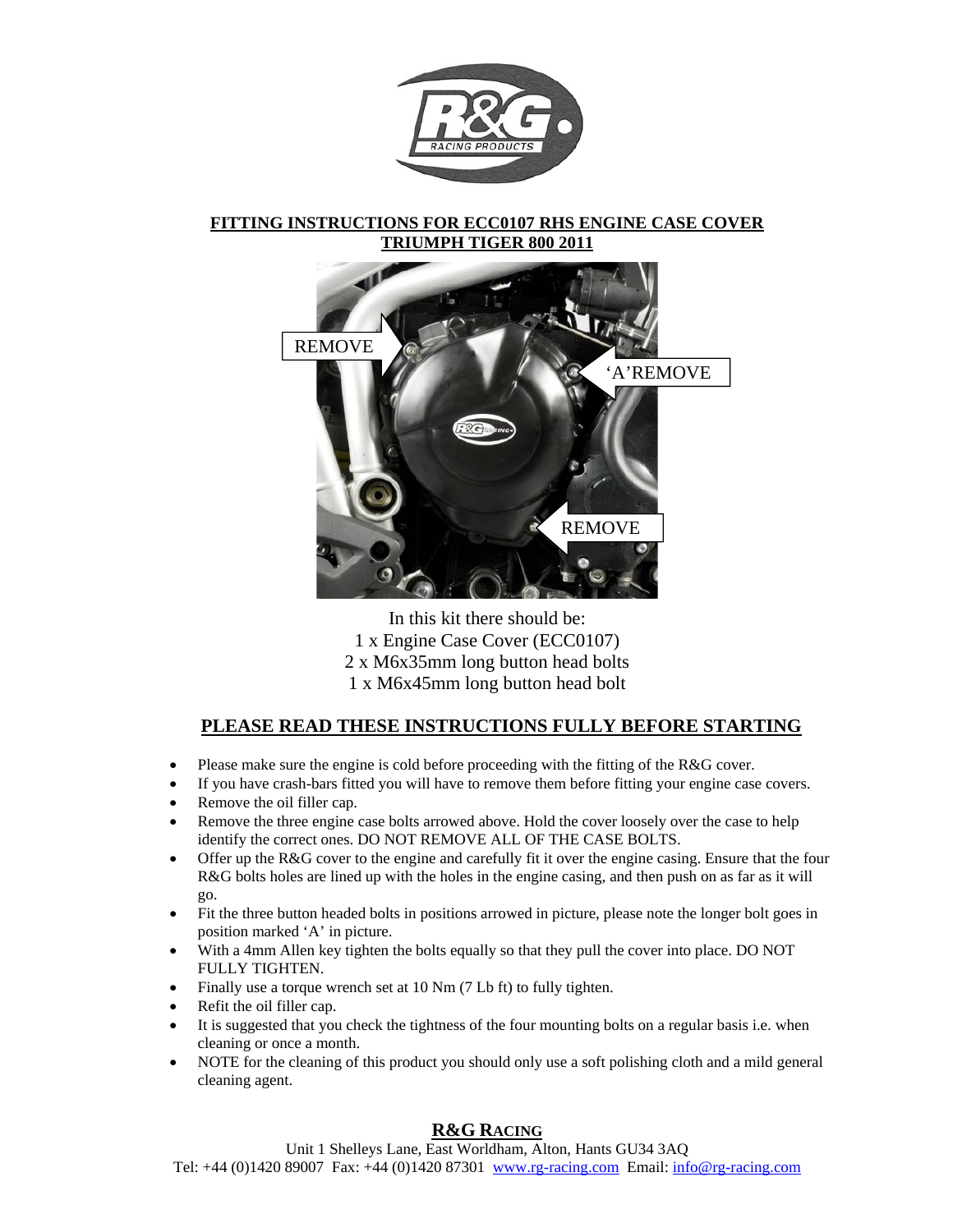

### **FITTING INSTRUCTIONS FOR ECC0107 RHS ENGINE CASE COVER TRIUMPH TIGER 800 2011**



In this kit there should be: 1 x Engine Case Cover (ECC0107) 2 x M6x35mm long button head bolts 1 x M6x45mm long button head bolt

### **PLEASE READ THESE INSTRUCTIONS FULLY BEFORE STARTING**

- Please make sure the engine is cold before proceeding with the fitting of the R&G cover.
- If you have crash-bars fitted you will have to remove them before fitting your engine case covers.
- Remove the oil filler cap.
- Remove the three engine case bolts arrowed above. Hold the cover loosely over the case to help identify the correct ones. DO NOT REMOVE ALL OF THE CASE BOLTS.
- Offer up the R&G cover to the engine and carefully fit it over the engine casing. Ensure that the four R&G bolts holes are lined up with the holes in the engine casing, and then push on as far as it will go.
- Fit the three button headed bolts in positions arrowed in picture, please note the longer bolt goes in position marked 'A' in picture.
- With a 4mm Allen key tighten the bolts equally so that they pull the cover into place. DO NOT FULLY TIGHTEN.
- Finally use a torque wrench set at 10 Nm (7 Lb ft) to fully tighten.
- Refit the oil filler cap.
- It is suggested that you check the tightness of the four mounting bolts on a regular basis i.e. when cleaning or once a month.
- NOTE for the cleaning of this product you should only use a soft polishing cloth and a mild general cleaning agent.

## **R&G RACING**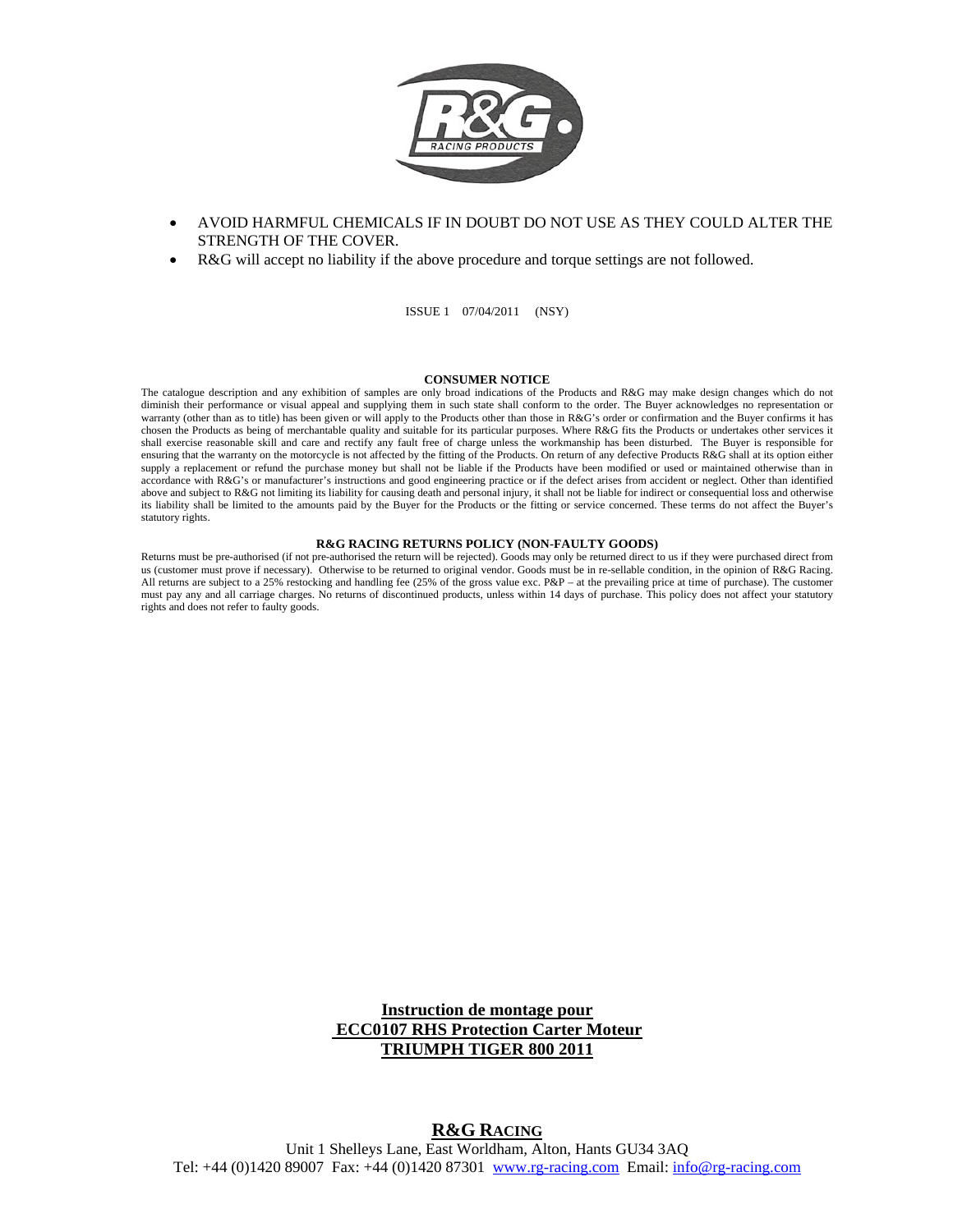

- AVOID HARMFUL CHEMICALS IF IN DOUBT DO NOT USE AS THEY COULD ALTER THE STRENGTH OF THE COVER.
- R&G will accept no liability if the above procedure and torque settings are not followed.

ISSUE 1 07/04/2011 (NSY)

#### **CONSUMER NOTICE**

The catalogue description and any exhibition of samples are only broad indications of the Products and R&G may make design changes which do not diminish their performance or visual appeal and supplying them in such state shall conform to the order. The Buyer acknowledges no representation or warranty (other than as to title) has been given or will apply to the Products other than those in R&G's order or confirmation and the Buyer confirms it has chosen the Products as being of merchantable quality and suitable for its particular purposes. Where R&G fits the Products or undertakes other services it shall exercise reasonable skill and care and rectify any fault free of charge unless the workmanship has been disturbed. The Buyer is responsible for ensuring that the warranty on the motorcycle is not affected by the fitting of the Products. On return of any defective Products R&G shall at its option either supply a replacement or refund the purchase money but shall not be liable if the Products have been modified or used or maintained otherwise than in accordance with R&G's or manufacturer's instructions and good engineering practice or if the defect arises from accident or neglect. Other than identified above and subject to R&G not limiting its liability for causing death and personal injury, it shall not be liable for indirect or consequential loss and otherwise its liability shall be limited to the amounts paid by the Buyer for the Products or the fitting or service concerned. These terms do not affect the Buyer's statutory rights.

#### **R&G RACING RETURNS POLICY (NON-FAULTY GOODS)**

Returns must be pre-authorised (if not pre-authorised the return will be rejected). Goods may only be returned direct to us if they were purchased direct from us (customer must prove if necessary). Otherwise to be returned to original vendor. Goods must be in re-sellable condition, in the opinion of R&G Racing. All returns are subject to a 25% restocking and handling fee (25% of the gross value exc. P&P – at the prevailing price at time of purchase). The customer must pay any and all carriage charges. No returns of discontinued products, unless within 14 days of purchase. This policy does not affect your statutory rights and does not refer to faulty goods.

### **Instruction de montage pour ECC0107 RHS Protection Carter Moteur TRIUMPH TIGER 800 2011**